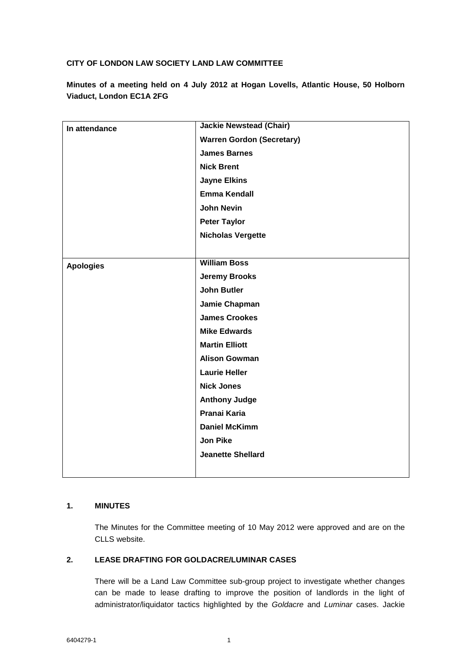## **CITY OF LONDON LAW SOCIETY LAND LAW COMMITTEE**

**Minutes of a meeting held on 4 July 2012 at Hogan Lovells, Atlantic House, 50 Holborn Viaduct, London EC1A 2FG**

| In attendance    | <b>Jackie Newstead (Chair)</b>   |
|------------------|----------------------------------|
|                  | <b>Warren Gordon (Secretary)</b> |
|                  | <b>James Barnes</b>              |
|                  | <b>Nick Brent</b>                |
|                  | <b>Jayne Elkins</b>              |
|                  | <b>Emma Kendall</b>              |
|                  | <b>John Nevin</b>                |
|                  | <b>Peter Taylor</b>              |
|                  | <b>Nicholas Vergette</b>         |
|                  |                                  |
| <b>Apologies</b> | <b>William Boss</b>              |
|                  | <b>Jeremy Brooks</b>             |
|                  | <b>John Butler</b>               |
|                  | Jamie Chapman                    |
|                  | <b>James Crookes</b>             |
|                  | <b>Mike Edwards</b>              |
|                  | <b>Martin Elliott</b>            |
|                  | <b>Alison Gowman</b>             |
|                  | <b>Laurie Heller</b>             |
|                  | <b>Nick Jones</b>                |
|                  | <b>Anthony Judge</b>             |
|                  | Pranai Karia                     |
|                  | <b>Daniel McKimm</b>             |
|                  | <b>Jon Pike</b>                  |
|                  | <b>Jeanette Shellard</b>         |
|                  |                                  |

## **1. MINUTES**

The Minutes for the Committee meeting of 10 May 2012 were approved and are on the CLLS website.

### **2. LEASE DRAFTING FOR GOLDACRE/LUMINAR CASES**

There will be a Land Law Committee sub-group project to investigate whether changes can be made to lease drafting to improve the position of landlords in the light of administrator/liquidator tactics highlighted by the *Goldacre* and *Luminar* cases. Jackie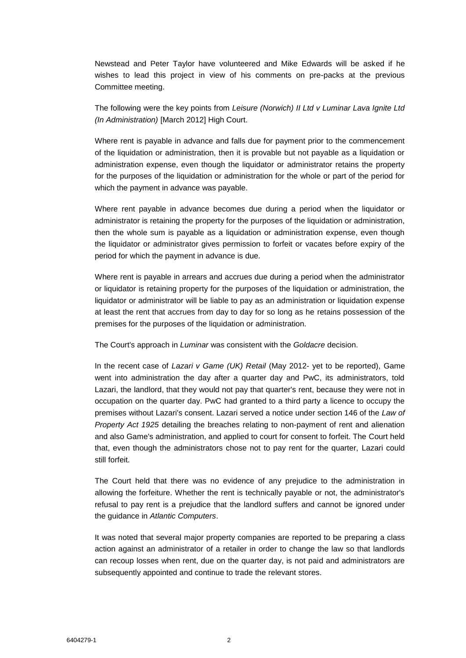Newstead and Peter Taylor have volunteered and Mike Edwards will be asked if he wishes to lead this project in view of his comments on pre-packs at the previous Committee meeting.

The following were the key points from *Leisure (Norwich) II Ltd v Luminar Lava Ignite Ltd (In Administration)* [March 2012] High Court.

Where rent is payable in advance and falls due for payment prior to the commencement of the liquidation or administration, then it is provable but not payable as a liquidation or administration expense, even though the liquidator or administrator retains the property for the purposes of the liquidation or administration for the whole or part of the period for which the payment in advance was payable.

Where rent payable in advance becomes due during a period when the liquidator or administrator is retaining the property for the purposes of the liquidation or administration, then the whole sum is payable as a liquidation or administration expense, even though the liquidator or administrator gives permission to forfeit or vacates before expiry of the period for which the payment in advance is due.

Where rent is payable in arrears and accrues due during a period when the administrator or liquidator is retaining property for the purposes of the liquidation or administration, the liquidator or administrator will be liable to pay as an administration or liquidation expense at least the rent that accrues from day to day for so long as he retains possession of the premises for the purposes of the liquidation or administration.

The Court's approach in *Luminar* was consistent with the *Goldacre* decision.

In the recent case of *Lazari v Game (UK) Retail* (May 2012- yet to be reported), Game went into administration the day after a quarter day and PwC, its administrators, told Lazari, the landlord, that they would not pay that quarter's rent, because they were not in occupation on the quarter day. PwC had granted to a third party a licence to occupy the premises without Lazari's consent. Lazari served a notice under section 146 of the *Law of Property Act 1925* detailing the breaches relating to non-payment of rent and alienation and also Game's administration, and applied to court for consent to forfeit. The Court held that, even though the administrators chose not to pay rent for the quarter, Lazari could still forfeit.

The Court held that there was no evidence of any prejudice to the administration in allowing the forfeiture. Whether the rent is technically payable or not, the administrator's refusal to pay rent is a prejudice that the landlord suffers and cannot be ignored under the guidance in *Atlantic Computers*.

It was noted that several major property companies are reported to be preparing a class action against an administrator of a retailer in order to change the law so that landlords can recoup losses when rent, due on the quarter day, is not paid and administrators are subsequently appointed and continue to trade the relevant stores.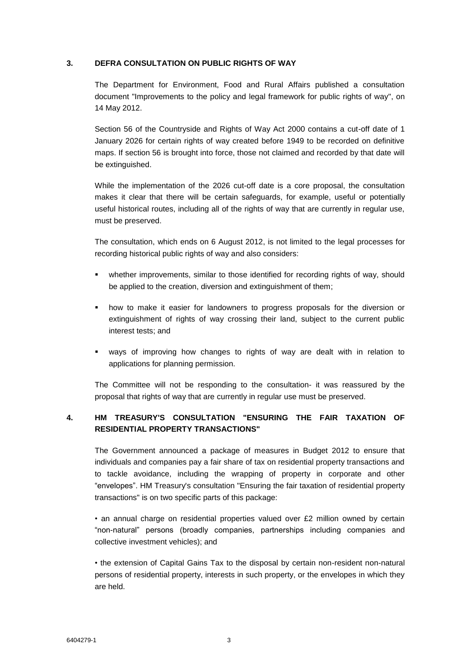#### **3. DEFRA CONSULTATION ON PUBLIC RIGHTS OF WAY**

The Department for Environment, Food and Rural Affairs published a consultation document "Improvements to the policy and legal framework for public rights of way", on 14 May 2012.

Section 56 of the Countryside and Rights of Way Act 2000 contains a cut-off date of 1 January 2026 for certain rights of way created before 1949 to be recorded on definitive maps. If section 56 is brought into force, those not claimed and recorded by that date will be extinguished.

While the implementation of the 2026 cut-off date is a core proposal, the consultation makes it clear that there will be certain safeguards, for example, useful or potentially useful historical routes, including all of the rights of way that are currently in regular use, must be preserved.

The consultation, which ends on 6 August 2012, is not limited to the legal processes for recording historical public rights of way and also considers:

- whether improvements, similar to those identified for recording rights of way, should be applied to the creation, diversion and extinguishment of them;
- how to make it easier for landowners to progress proposals for the diversion or extinguishment of rights of way crossing their land, subject to the current public interest tests; and
- ways of improving how changes to rights of way are dealt with in relation to applications for planning permission.

The Committee will not be responding to the consultation- it was reassured by the proposal that rights of way that are currently in regular use must be preserved.

## **4. HM TREASURY'S CONSULTATION "ENSURING THE FAIR TAXATION OF RESIDENTIAL PROPERTY TRANSACTIONS"**

The Government announced a package of measures in Budget 2012 to ensure that individuals and companies pay a fair share of tax on residential property transactions and to tackle avoidance, including the wrapping of property in corporate and other "envelopes". HM Treasury's consultation "Ensuring the fair taxation of residential property transactions" is on two specific parts of this package:

• an annual charge on residential properties valued over £2 million owned by certain "non-natural" persons (broadly companies, partnerships including companies and collective investment vehicles); and

• the extension of Capital Gains Tax to the disposal by certain non-resident non-natural persons of residential property, interests in such property, or the envelopes in which they are held.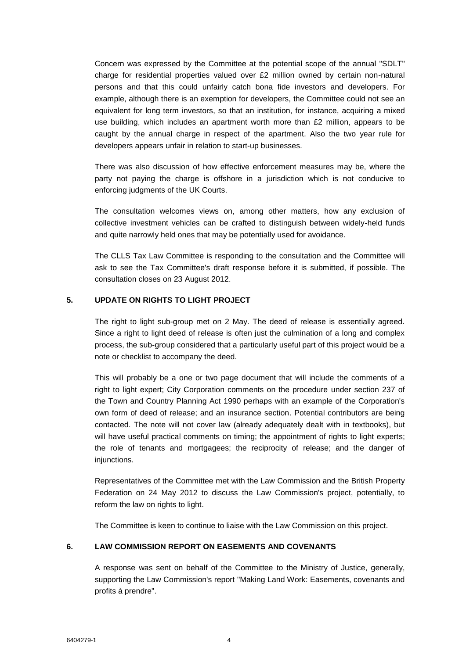Concern was expressed by the Committee at the potential scope of the annual "SDLT" charge for residential properties valued over £2 million owned by certain non-natural persons and that this could unfairly catch bona fide investors and developers. For example, although there is an exemption for developers, the Committee could not see an equivalent for long term investors, so that an institution, for instance, acquiring a mixed use building, which includes an apartment worth more than £2 million, appears to be caught by the annual charge in respect of the apartment. Also the two year rule for developers appears unfair in relation to start-up businesses.

There was also discussion of how effective enforcement measures may be, where the party not paying the charge is offshore in a jurisdiction which is not conducive to enforcing judgments of the UK Courts.

The consultation welcomes views on, among other matters, how any exclusion of collective investment vehicles can be crafted to distinguish between widely-held funds and quite narrowly held ones that may be potentially used for avoidance.

The CLLS Tax Law Committee is responding to the consultation and the Committee will ask to see the Tax Committee's draft response before it is submitted, if possible. The consultation closes on 23 August 2012.

#### **5. UPDATE ON RIGHTS TO LIGHT PROJECT**

The right to light sub-group met on 2 May. The deed of release is essentially agreed. Since a right to light deed of release is often just the culmination of a long and complex process, the sub-group considered that a particularly useful part of this project would be a note or checklist to accompany the deed.

This will probably be a one or two page document that will include the comments of a right to light expert; City Corporation comments on the procedure under section 237 of the Town and Country Planning Act 1990 perhaps with an example of the Corporation's own form of deed of release; and an insurance section. Potential contributors are being contacted. The note will not cover law (already adequately dealt with in textbooks), but will have useful practical comments on timing; the appointment of rights to light experts; the role of tenants and mortgagees; the reciprocity of release; and the danger of injunctions.

Representatives of the Committee met with the Law Commission and the British Property Federation on 24 May 2012 to discuss the Law Commission's project, potentially, to reform the law on rights to light.

The Committee is keen to continue to liaise with the Law Commission on this project.

#### **6. LAW COMMISSION REPORT ON EASEMENTS AND COVENANTS**

A response was sent on behalf of the Committee to the Ministry of Justice, generally, supporting the Law Commission's report "Making Land Work: Easements, covenants and profits à prendre".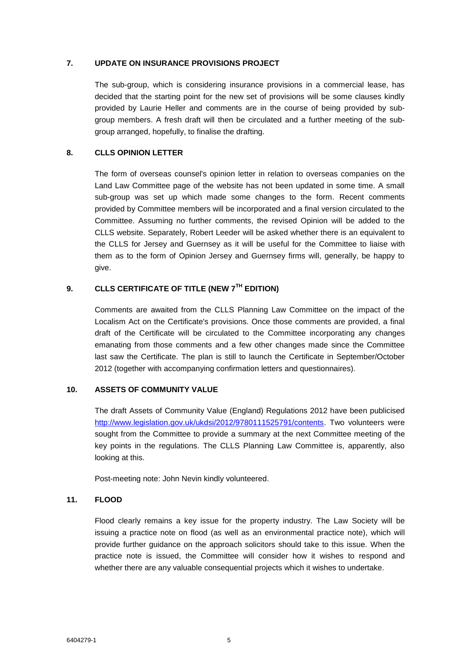#### **7. UPDATE ON INSURANCE PROVISIONS PROJECT**

The sub-group, which is considering insurance provisions in a commercial lease, has decided that the starting point for the new set of provisions will be some clauses kindly provided by Laurie Heller and comments are in the course of being provided by subgroup members. A fresh draft will then be circulated and a further meeting of the subgroup arranged, hopefully, to finalise the drafting.

#### **8. CLLS OPINION LETTER**

The form of overseas counsel's opinion letter in relation to overseas companies on the Land Law Committee page of the website has not been updated in some time. A small sub-group was set up which made some changes to the form. Recent comments provided by Committee members will be incorporated and a final version circulated to the Committee. Assuming no further comments, the revised Opinion will be added to the CLLS website. Separately, Robert Leeder will be asked whether there is an equivalent to the CLLS for Jersey and Guernsey as it will be useful for the Committee to liaise with them as to the form of Opinion Jersey and Guernsey firms will, generally, be happy to give.

# **9. CLLS CERTIFICATE OF TITLE (NEW 7TH EDITION)**

Comments are awaited from the CLLS Planning Law Committee on the impact of the Localism Act on the Certificate's provisions. Once those comments are provided, a final draft of the Certificate will be circulated to the Committee incorporating any changes emanating from those comments and a few other changes made since the Committee last saw the Certificate. The plan is still to launch the Certificate in September/October 2012 (together with accompanying confirmation letters and questionnaires).

#### **10. ASSETS OF COMMUNITY VALUE**

The draft Assets of Community Value (England) Regulations 2012 have been publicised [http://www.legislation.gov.uk/ukdsi/2012/9780111525791/contents.](http://www.legislation.gov.uk/ukdsi/2012/9780111525791/contents) Two volunteers were sought from the Committee to provide a summary at the next Committee meeting of the key points in the regulations. The CLLS Planning Law Committee is, apparently, also looking at this.

Post-meeting note: John Nevin kindly volunteered.

#### **11. FLOOD**

Flood clearly remains a key issue for the property industry. The Law Society will be issuing a practice note on flood (as well as an environmental practice note), which will provide further guidance on the approach solicitors should take to this issue. When the practice note is issued, the Committee will consider how it wishes to respond and whether there are any valuable consequential projects which it wishes to undertake.